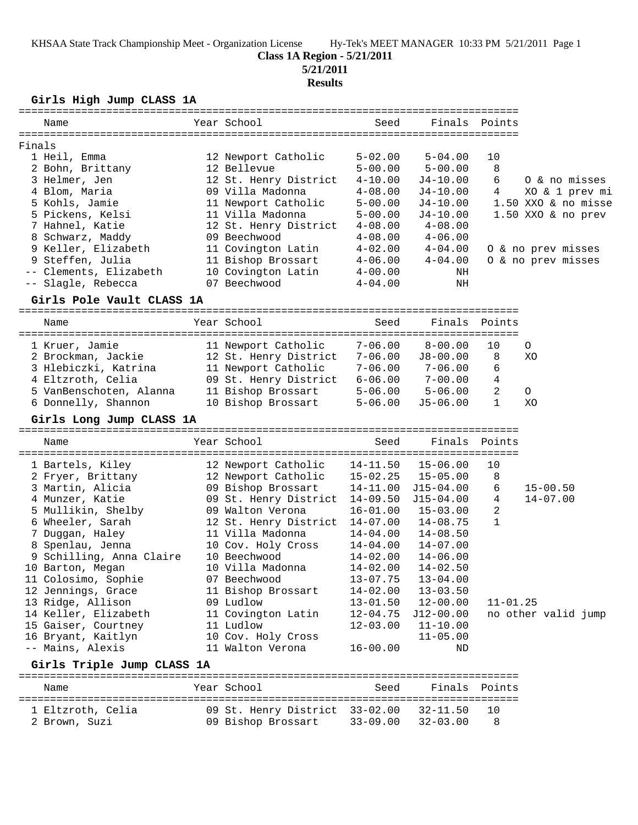# **Class 1A Region - 5/21/2011**

**5/21/2011**

### **Results**

| Girls High Jump CLASS 1A                                       |                                |              |                       |               |                     |
|----------------------------------------------------------------|--------------------------------|--------------|-----------------------|---------------|---------------------|
| Name                                                           | Year School                    | Seed         |                       | Finals Points |                     |
| Finals                                                         |                                |              |                       |               |                     |
| 1 Heil, Emma                                                   | 12 Newport Catholic            | $5 - 02.00$  | $5 - 04.00$           | 10            |                     |
| 2 Bohn, Brittany                                               | 12 Bellevue                    | $5 - 00.00$  | $5 - 00.00$           | 8             |                     |
| 3 Helmer, Jen                                                  | 12 St. Henry District          | $4 - 10.00$  | J4-10.00              | 6             | 0 & no misses       |
| 4 Blom, Maria                                                  | 09 Villa Madonna               | $4 - 08.00$  | $J4-10.00$            | 4             | XO & 1 prev mi      |
| 5 Kohls, Jamie                                                 | 11 Newport Catholic            | $5 - 00.00$  | $J4-10.00$            |               | 1.50 XXO & no misse |
| 5 Pickens, Kelsi                                               | 11 Villa Madonna               | $5 - 00.00$  | $J4-10.00$            |               | 1.50 XXO & no prev  |
| 7 Hahnel, Katie                                                | 12 St. Henry District          | $4 - 08.00$  | $4 - 08.00$           |               |                     |
| 8 Schwarz, Maddy                                               | 09 Beechwood                   | $4 - 08.00$  | $4 - 06.00$           |               |                     |
| 9 Keller, Elizabeth                                            | 11 Covington Latin             | $4 - 02.00$  | $4 - 04.00$           |               | O & no prev misses  |
| 9 Steffen, Julia                                               | 11 Bishop Brossart             | $4 - 06.00$  | $4 - 04.00$           |               | 0 & no prev misses  |
| -- Clements, Elizabeth                                         | 10 Covington Latin             | $4 - 00.00$  | NH                    |               |                     |
| -- Slagle, Rebecca                                             | 07 Beechwood                   | $4 - 04.00$  | NH                    |               |                     |
| Girls Pole Vault CLASS 1A                                      |                                |              |                       |               |                     |
| Name                                                           | Year School                    | Seed         | Finals                | Points        |                     |
|                                                                |                                |              |                       |               |                     |
| 1 Kruer, Jamie                                                 | 11 Newport Catholic            | $7 - 06.00$  | $8 - 00.00$           | 10            | O                   |
| 2 Brockman, Jackie                                             | 12 St. Henry District          | $7 - 06.00$  | $J8 - 00.00$          | 8             | XO                  |
| 3 Hlebiczki, Katrina                                           | 11 Newport Catholic            | $7 - 06.00$  | $7 - 06.00$           | 6             |                     |
| 4 Eltzroth, Celia                                              | 09 St. Henry District          | $6 - 06.00$  | $7 - 00.00$           | 4             |                     |
| 5 VanBenschoten, Alanna                                        | 11 Bishop Brossart             | $5 - 06.00$  | $5 - 06.00$           | 2             | $\circ$             |
| 6 Donnelly, Shannon                                            | 10 Bishop Brossart             | $5 - 06.00$  | $J5 - 06.00$          | 1             | XO                  |
| Girls Long Jump CLASS 1A                                       |                                |              |                       |               |                     |
| Name                                                           | Year School                    | Seed         | Finals                | Points        |                     |
| 1 Bartels, Kiley                                               | 12 Newport Catholic            | $14 - 11.50$ | $15 - 06.00$          | 10            |                     |
| 2 Fryer, Brittany                                              | 12 Newport Catholic            | $15 - 02.25$ | $15 - 05.00$          | 8             |                     |
| 3 Martin, Alicia                                               | 09 Bishop Brossart             | 14-11.00     | J15-04.00             | 6             | $15 - 00.50$        |
| 4 Munzer, Katie                                                | 09 St. Henry District 14-09.50 |              | $J15 - 04.00$         | 4             | $14 - 07.00$        |
| 5 Mullikin, Shelby                                             | 09 Walton Verona               | $16 - 01.00$ | $15 - 03.00$          | 2             |                     |
| 6 Wheeler, Sarah                                               | 12 St. Henry District 14-07.00 |              | $14 - 08.75$          | 1             |                     |
| 7 Duggan, Haley                                                | 11 Villa Madonna               | $14 - 04.00$ | $14 - 08.50$          |               |                     |
| 8 Spenlau, Jenna                                               | 10 Cov. Holy Cross             | $14 - 04.00$ | $14 - 07.00$          |               |                     |
| 9 Schilling, Anna Claire                                       | 10 Beechwood                   | $14 - 02.00$ | $14 - 06.00$          |               |                     |
| 10 Barton, Megan                                               | 10 Villa Madonna               | $14 - 02.00$ | $14 - 02.50$          |               |                     |
| 11 Colosimo, Sophie                                            | 07 Beechwood                   | $13 - 07.75$ | $13 - 04.00$          |               |                     |
| 12 Jennings, Grace                                             | 11 Bishop Brossart             | $14 - 02.00$ | $13 - 03.50$          |               |                     |
| 13 Ridge, Allison                                              | 09 Ludlow                      | $13 - 01.50$ | $12 - 00.00$          | $11 - 01.25$  |                     |
| 14 Keller, Elizabeth                                           | 11 Covington Latin             | $12 - 04.75$ | $J12-00.00$           |               | no other valid jump |
| 15 Gaiser, Courtney                                            | 11 Ludlow                      | $12 - 03.00$ | $11 - 10.00$          |               |                     |
| 16 Bryant, Kaitlyn                                             | 10 Cov. Holy Cross             |              | $11 - 05.00$          |               |                     |
| -- Mains, Alexis                                               | 11 Walton Verona               | $16 - 00.00$ | ND                    |               |                     |
| Girls Triple Jump CLASS 1A<br>================================ |                                |              | ===================== |               |                     |
| Name                                                           | Year School                    | Seed         |                       | Finals Points |                     |
| 1 Eltzroth, Celia                                              | 09 St. Henry District 33-02.00 |              | $32 - 11.50$          | 10            |                     |

2 Brown, Suzi 09 Bishop Brossart 33-09.00 32-03.00 8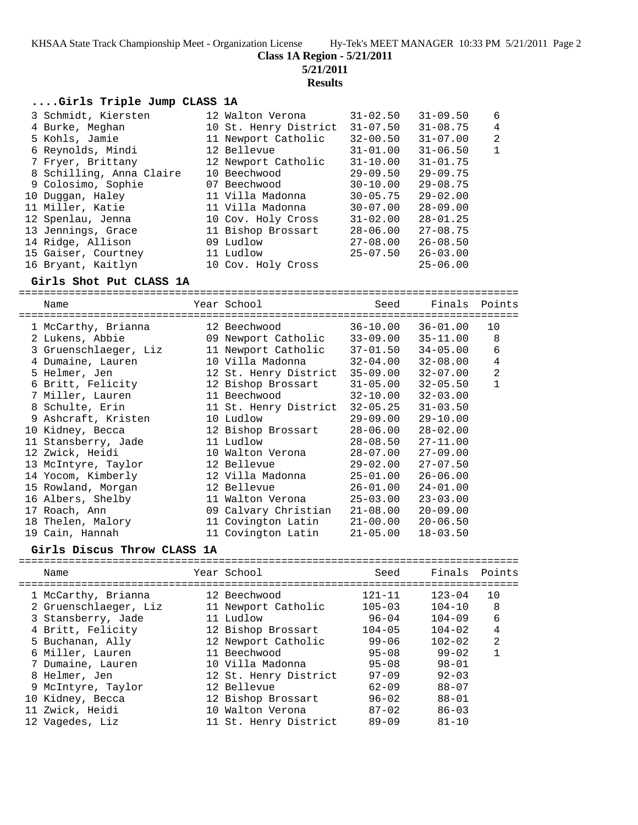**Class 1A Region - 5/21/2011**

**5/21/2011**

**Results**

### **....Girls Triple Jump CLASS 1A**

| 3 Schmidt, Kiersten      |  | $31 - 02.50$                                                                                                                                                                                                                                                               | $31 - 09.50$ | 6              |
|--------------------------|--|----------------------------------------------------------------------------------------------------------------------------------------------------------------------------------------------------------------------------------------------------------------------------|--------------|----------------|
| 4 Burke, Meghan          |  | $31 - 07.50$                                                                                                                                                                                                                                                               | $31 - 08.75$ | 4              |
| 5 Kohls, Jamie           |  | $32 - 00.50$                                                                                                                                                                                                                                                               | $31 - 07.00$ | $\overline{2}$ |
| 6 Reynolds, Mindi        |  | $31 - 01.00$                                                                                                                                                                                                                                                               | $31 - 06.50$ | $\mathbf{1}$   |
| 7 Fryer, Brittany        |  | $31 - 10.00$                                                                                                                                                                                                                                                               | $31 - 01.75$ |                |
| 8 Schilling, Anna Claire |  | $29 - 09.50$                                                                                                                                                                                                                                                               | $29 - 09.75$ |                |
| 9 Colosimo, Sophie       |  | $30 - 10.00$                                                                                                                                                                                                                                                               | $29 - 08.75$ |                |
| 10 Duggan, Haley         |  | $30 - 05.75$                                                                                                                                                                                                                                                               | $29 - 02.00$ |                |
| 11 Miller, Katie         |  | $30 - 07.00$                                                                                                                                                                                                                                                               | $28 - 09.00$ |                |
| 12 Spenlau, Jenna        |  | $31 - 02.00$                                                                                                                                                                                                                                                               | $28 - 01.25$ |                |
| 13 Jennings, Grace       |  | $28 - 06.00$                                                                                                                                                                                                                                                               | $27 - 08.75$ |                |
| 14 Ridge, Allison        |  | $27 - 08.00$                                                                                                                                                                                                                                                               | $26 - 08.50$ |                |
| 15 Gaiser, Courtney      |  | $25 - 07.50$                                                                                                                                                                                                                                                               | $26 - 03.00$ |                |
| 16 Bryant, Kaitlyn       |  |                                                                                                                                                                                                                                                                            | $25 - 06.00$ |                |
|                          |  | 12 Walton Verona<br>10 St. Henry District<br>11 Newport Catholic<br>12 Bellevue<br>12 Newport Catholic<br>10 Beechwood<br>07 Beechwood<br>11 Villa Madonna<br>11 Villa Madonna<br>10 Cov. Holy Cross<br>11 Bishop Brossart<br>09 Ludlow<br>11 Ludlow<br>10 Cov. Holy Cross |              |                |

## **Girls Shot Put CLASS 1A**

================================================================================ Name Year School Seed Finals Points ================================================================================ 1 McCarthy, Brianna 12 Beechwood 36-10.00 36-01.00 10 2 Lukens, Abbie 09 Newport Catholic 33-09.00 35-11.00 8 3 Gruenschlaeger, Liz 11 Newport Catholic 37-01.50 34-05.00 6 4 Dumaine, Lauren 10 Villa Madonna 32-04.00 32-08.00 4 5 Helmer, Jen 12 St. Henry District 35-09.00 32-07.00 2 6 Britt, Felicity 12 Bishop Brossart 31-05.00 32-05.50 1 7 Miller, Lauren 11 Beechwood 32-10.00 32-03.00 8 Schulte, Erin 11 St. Henry District 32-05.25 31-03.50 9 Ashcraft, Kristen 10 Ludlow 29-09.00 29-10.00 10 Kidney, Becca 12 Bishop Brossart 28-06.00 28-02.00 11 Stansberry, Jade 11 Ludlow 28-08.50 27-11.00 12 Zwick, Heidi 10 Walton Verona 28-07.00 27-09.00 13 McIntyre, Taylor 12 Bellevue 29-02.00 27-07.50 14 Yocom, Kimberly 12 Villa Madonna 25-01.00 26-06.00 15 Rowland, Morgan 12 Bellevue 26-01.00 24-01.00 16 Albers, Shelby 11 Walton Verona 25-03.00 23-03.00 17 Roach, Ann 09 Calvary Christian 21-08.00 20-09.00 18 Thelen, Malory 11 Covington Latin 21-00.00 20-06.50 19 Cain, Hannah 11 Covington Latin 21-05.00 18-03.50

### **Girls Discus Throw CLASS 1A**

| Name                  | Year School           | Seed       | Finals     | Points         |
|-----------------------|-----------------------|------------|------------|----------------|
| 1 McCarthy, Brianna   | 12 Beechwood          | $121 - 11$ | $123 - 04$ | 10             |
| 2 Gruenschlaeger, Liz | 11 Newport Catholic   | $105 - 03$ | $104 - 10$ | 8              |
| 3 Stansberry, Jade    | 11 Ludlow             | $96 - 04$  | $104 - 09$ | 6              |
| 4 Britt, Felicity     | 12 Bishop Brossart    | $104 - 05$ | $104 - 02$ | 4              |
| 5 Buchanan, Ally      | 12 Newport Catholic   | $99 - 06$  | $102 - 02$ | $\overline{2}$ |
| 6 Miller, Lauren      | 11 Beechwood          | $95 - 08$  | $99 - 02$  |                |
| 7 Dumaine, Lauren     | 10 Villa Madonna      | $95 - 08$  | $98 - 01$  |                |
| 8 Helmer, Jen         | 12 St. Henry District | $97 - 09$  | $92 - 03$  |                |
| 9 McIntyre, Taylor    | 12 Bellevue           | $62 - 09$  | $88 - 07$  |                |
| 10 Kidney, Becca      | 12 Bishop Brossart    | $96 - 02$  | $88 - 01$  |                |
| 11 Zwick, Heidi       | 10 Walton Verona      | $87 - 02$  | $86 - 03$  |                |
| 12 Vagedes, Liz       | 11 St. Henry District | $89 - 09$  | $81 - 10$  |                |
|                       |                       |            |            |                |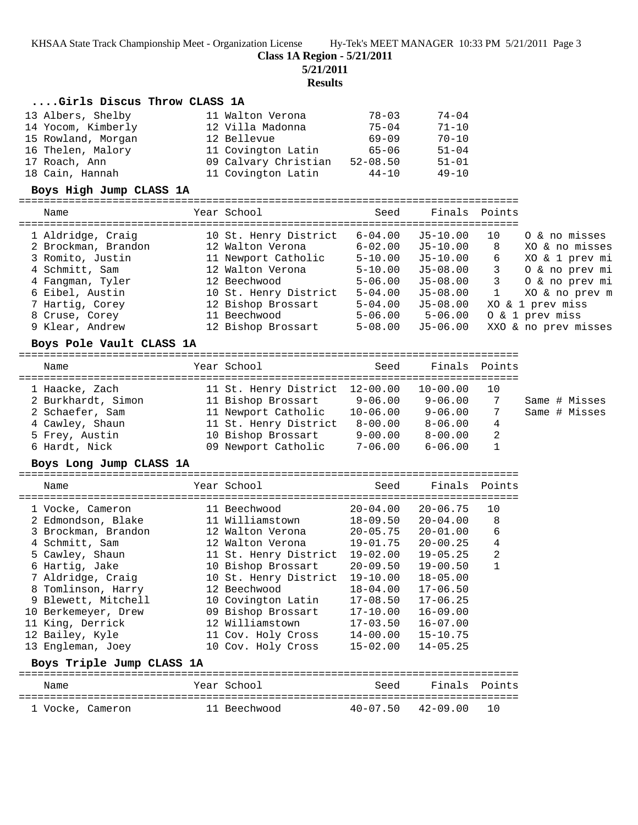**Class 1A Region - 5/21/2011**

**5/21/2011**

**Results**

### **....Girls Discus Throw CLASS 1A**

| 13 Albers, Shelby  | 11 Walton Verona     | $78 - 03$    | $74 - 04$ |
|--------------------|----------------------|--------------|-----------|
| 14 Yocom, Kimberly | 12 Villa Madonna     | $75 - 04$    | $71 - 10$ |
| 15 Rowland, Morgan | 12 Bellevue          | $69 - 09$    | $70 - 10$ |
| 16 Thelen, Malory  | 11 Covington Latin   | $65 - 06$    | $51 - 04$ |
| 17 Roach, Ann      | 09 Calvary Christian | $52 - 08.50$ | $51 - 01$ |
| 18 Cain, Hannah    | 11 Covington Latin   | $44 - 10$    | $49 - 10$ |

#### **Boys High Jump CLASS 1A**

================================================================================

 Name Year School Seed Finals Points ================================================================================

| 1 Aldridge, Craig   | 10 St. Henry District | $6 - 04.00$ | J5-10.00 | 10 | 0 & no misses        |
|---------------------|-----------------------|-------------|----------|----|----------------------|
| 2 Brockman, Brandon | 12 Walton Verona      | $6 - 02.00$ | J5-10.00 | 8  | XO & no misses       |
| 3 Romito, Justin    | 11 Newport Catholic   | $5 - 10.00$ | J5-10.00 | 6  | XO & 1 prev mi       |
| 4 Schmitt, Sam      | 12 Walton Verona      | $5 - 10.00$ | J5-08.00 |    | 0 & no prev mi       |
| 4 Fangman, Tyler    | 12 Beechwood          | $5 - 06.00$ | J5-08.00 | 3  | 0 & no prev mi       |
| 6 Eibel, Austin     | 10 St. Henry District | $5 - 04.00$ | J5-08.00 |    | XO & no prev m       |
| 7 Hartig, Corey     | 12 Bishop Brossart    | $5 - 04.00$ | J5-08.00 |    | XO & 1 prev miss     |
| 8 Cruse, Corey      | 11 Beechwood          | $5 - 06.00$ | 5-06.00  |    | 0 & 1 prev miss      |
| 9 Klear, Andrew     | 12 Bishop Brossart    | $5 - 08.00$ | J5-06.00 |    | XXO & no prev misses |
|                     |                       |             |          |    |                      |

#### **Boys Pole Vault CLASS 1A**

================================================================================ Name Year School Seed Finals Points

| name               | rear scnooi                    | seea         | Finais Points |     |               |
|--------------------|--------------------------------|--------------|---------------|-----|---------------|
| 1 Haacke, Zach     | 11 St. Henry District 12-00.00 |              | $10 - 00.00$  | -10 |               |
| 2 Burkhardt, Simon | 11 Bishop Brossart 9-06.00     |              | $9 - 06.00$   |     | Same # Misses |
| 2 Schaefer, Sam    | 11 Newport Catholic            | $10 - 06.00$ | $9 - 06.00$   | -7  | Same # Misses |
| 4 Cawley, Shaun    | 11 St. Henry District          | 8-00.00      | $8 - 06.00$   | 4   |               |
| 5 Frey, Austin     | 10 Bishop Brossart             | $9 - 00.00$  | $8 - 00.00$   | -2  |               |
| 6 Hardt, Nick      | 09 Newport Catholic            | $7 - 06.00$  | $6 - 06.00$   |     |               |

#### **Boys Long Jump CLASS 1A**

================================================================================ Name Year School Seed Finals Points ================================================================================ 1 Vocke, Cameron 11 Beechwood 20-04.00 20-06.75 10 2 Edmondson, Blake 11 Williamstown 18-09.50 20-04.00 8 3 Brockman, Brandon 12 Walton Verona 20-05.75 20-01.00 6 4 Schmitt, Sam 12 Walton Verona 19-01.75 20-00.25 4 5 Cawley, Shaun 11 St. Henry District 19-02.00 19-05.25 2 6 Hartig, Jake 10 Bishop Brossart 20-09.50 19-00.50 1 7 Aldridge, Craig 10 St. Henry District 19-10.00 18-05.00 8 Tomlinson, Harry 12 Beechwood 18-04.00 17-06.50 9 Blewett, Mitchell 10 Covington Latin 17-08.50 17-06.25 10 Berkemeyer, Drew 09 Bishop Brossart 17-10.00 16-09.00 11 King, Derrick 12 Williamstown 17-03.50 16-07.00 12 Bailey, Kyle 11 Cov. Holy Cross 14-00.00 15-10.75 13 Engleman, Joey 10 Cov. Holy Cross 15-02.00 14-05.25 **Boys Triple Jump CLASS 1A** ================================================================================

| Name             | Year School  | Seed                 | Finals Points |  |
|------------------|--------------|----------------------|---------------|--|
| 1 Vocke, Cameron | 11 Beechwood | 40-07.50 42-09.00 10 |               |  |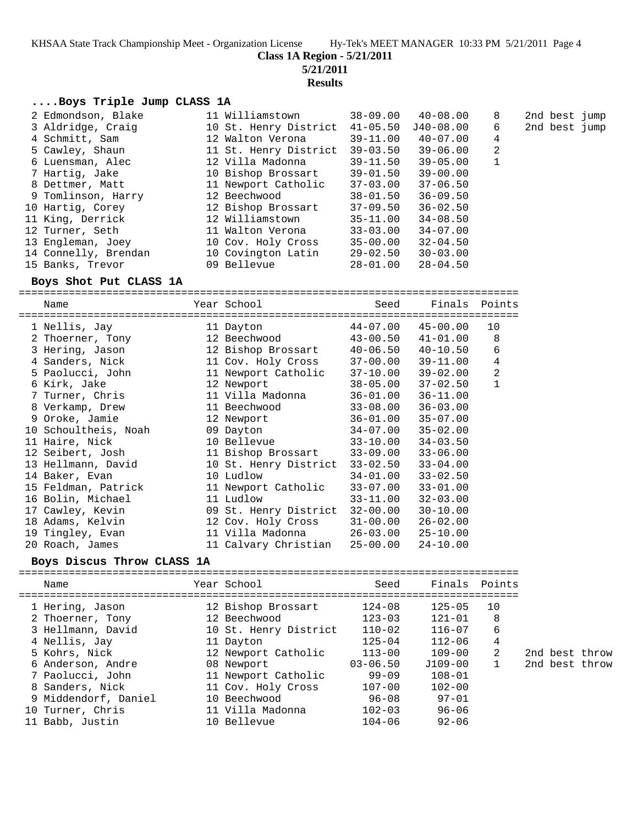**Class 1A Region - 5/21/2011**

**5/21/2011**

**Results**

## **....Boys Triple Jump CLASS 1A**

| 2 Edmondson, Blake   | 11 Williamstown       | $38 - 09.00$ | $40 - 08.00$ | 8            | 2nd best jump |
|----------------------|-----------------------|--------------|--------------|--------------|---------------|
| 3 Aldridge, Craig    | 10 St. Henry District | $41 - 05.50$ | $J40-08.00$  | 6            | 2nd best jump |
| 4 Schmitt, Sam       | 12 Walton Verona      | $39 - 11.00$ | $40 - 07.00$ | 4            |               |
| 5 Cawley, Shaun      | 11 St. Henry District | $39 - 03.50$ | $39 - 06.00$ | 2            |               |
| 6 Luensman, Alec     | 12 Villa Madonna      | $39 - 11.50$ | $39 - 05.00$ | $\mathbf{1}$ |               |
| 7 Hartig, Jake       | 10 Bishop Brossart    | 39-01.50     | $39 - 00.00$ |              |               |
| 8 Dettmer, Matt      | 11 Newport Catholic   | $37 - 03.00$ | $37 - 06.50$ |              |               |
| 9 Tomlinson, Harry   | 12 Beechwood          | $38 - 01.50$ | $36 - 09.50$ |              |               |
| 10 Hartig, Corey     | 12 Bishop Brossart    | $37 - 09.50$ | $36 - 02.50$ |              |               |
| 11 King, Derrick     | 12 Williamstown       | $35 - 11.00$ | $34 - 08.50$ |              |               |
| 12 Turner, Seth      | 11 Walton Verona      | $33 - 03.00$ | $34 - 07.00$ |              |               |
| 13 Engleman, Joey    | 10 Cov. Holy Cross    | $35 - 00.00$ | $32 - 04.50$ |              |               |
| 14 Connelly, Brendan | 10 Covington Latin    | $29 - 02.50$ | $30 - 03.00$ |              |               |
| 15 Banks, Trevor     | 09 Bellevue           | $28 - 01.00$ | $28 - 04.50$ |              |               |

## **Boys Shot Put CLASS 1A**

| Name                                                                                                                                                                                                   | Year School                                                                                                                                                                | Seed                                                                                                                                                 | Finals Points                                                                                                                                                |                                        |
|--------------------------------------------------------------------------------------------------------------------------------------------------------------------------------------------------------|----------------------------------------------------------------------------------------------------------------------------------------------------------------------------|------------------------------------------------------------------------------------------------------------------------------------------------------|--------------------------------------------------------------------------------------------------------------------------------------------------------------|----------------------------------------|
| 1 Nellis, Jay<br>2 Thoerner, Tony<br>3 Hering, Jason<br>4 Sanders, Nick<br>5 Paolucci, John<br>6 Kirk, Jake                                                                                            | 11 Dayton<br>12 Beechwood<br>12 Bishop Brossart<br>11 Cov. Holy Cross<br>11 Newport Catholic 37-10.00<br>12 Newport                                                        | 44-07.00<br>$43 - 00.50$<br>$40 - 06.50$ $40 - 10.50$<br>37-00.00<br>$38 - 05.00$                                                                    | $45 - 00.00$<br>$41 - 01.00$<br>$39 - 11.00$<br>$39 - 02.00$<br>$37 - 02.50$                                                                                 | 10<br>8<br>6<br>4<br>2<br>$\mathbf{1}$ |
| 7 Turner, Chris<br>8 Verkamp, Drew<br>9 Oroke, Jamie<br>10 Schoultheis, Noah<br>11 Haire, Nick<br>12 Seibert, Josh<br>13 Hellmann, David<br>14 Baker, Evan<br>15 Feldman, Patrick<br>16 Bolin, Michael | 11 Villa Madonna<br>11 Beechwood<br>12 Newport<br>09 Dayton<br>10 Bellevue<br>11 Bishop Brossart<br>10 St. Henry District<br>10 Ludlow<br>11 Newport Catholic<br>11 Ludlow | $36 - 01.00$<br>$33 - 08.00$<br>36-01.00<br>$34 - 07.00$<br>$33 - 10.00$<br>33-09.00<br>$33 - 02.50$<br>$34 - 01.00$<br>$33 - 07.00$<br>$33 - 11.00$ | $36 - 11.00$<br>$36 - 03.00$<br>$35 - 07.00$<br>$35 - 02.00$<br>$34 - 03.50$<br>$33 - 06.00$<br>$33 - 04.00$<br>$33 - 02.50$<br>$33 - 01.00$<br>$32 - 03.00$ |                                        |
| 17 Cawley, Kevin<br>18 Adams, Kelvin<br>19 Tingley, Evan<br>20 Roach, James                                                                                                                            | 09 St. Henry District<br>12 Cov. Holy Cross<br>11 Villa Madonna<br>11 Calvary Christian                                                                                    | $32 - 00.00$<br>$31 - 00.00$<br>$26 - 03.00$ $25 - 10.00$<br>25-00.00                                                                                | $30 - 10.00$<br>$26 - 02.00$<br>$24 - 10.00$                                                                                                                 |                                        |

## **Boys Discus Throw CLASS 1A**

| Name                                                                                                                                                                                                                  | Year School                                                                                                                                                                                                   | Seed                                                                                                                                               | Finals Points                                                                                                                                    |                        |          |
|-----------------------------------------------------------------------------------------------------------------------------------------------------------------------------------------------------------------------|---------------------------------------------------------------------------------------------------------------------------------------------------------------------------------------------------------------|----------------------------------------------------------------------------------------------------------------------------------------------------|--------------------------------------------------------------------------------------------------------------------------------------------------|------------------------|----------|
| 1 Hering, Jason<br>2 Thoerner, Tony<br>3 Hellmann, David<br>4 Nellis, Jay<br>5 Kohrs, Nick<br>6 Anderson, Andre<br>7 Paolucci, John<br>8 Sanders, Nick<br>9 Middendorf, Daniel<br>10 Turner, Chris<br>11 Babb, Justin | 12 Bishop Brossart<br>12 Beechwood<br>10 St. Henry District<br>11 Dayton<br>12 Newport Catholic<br>08 Newport<br>11 Newport Catholic<br>11 Cov. Holy Cross<br>10 Beechwood<br>11 Villa Madonna<br>10 Bellevue | $124 - 08$<br>$123 - 03$<br>$110 - 02$<br>$125 - 04$<br>$113 - 00$<br>$03 - 06.50$<br>$99 - 09$<br>$107 - 00$<br>96-08<br>$102 - 03$<br>$104 - 06$ | $125 - 05$<br>$121 - 01$<br>$116 - 07$<br>$112 - 06$<br>$109 - 00$<br>J109-00<br>$108 - 01$<br>$102 - 00$<br>$97 - 01$<br>$96 - 06$<br>$92 - 06$ | 10<br>8<br>6<br>4<br>2 | 21<br>2r |
|                                                                                                                                                                                                                       |                                                                                                                                                                                                               |                                                                                                                                                    |                                                                                                                                                  |                        |          |

nd best throw

nd best throw